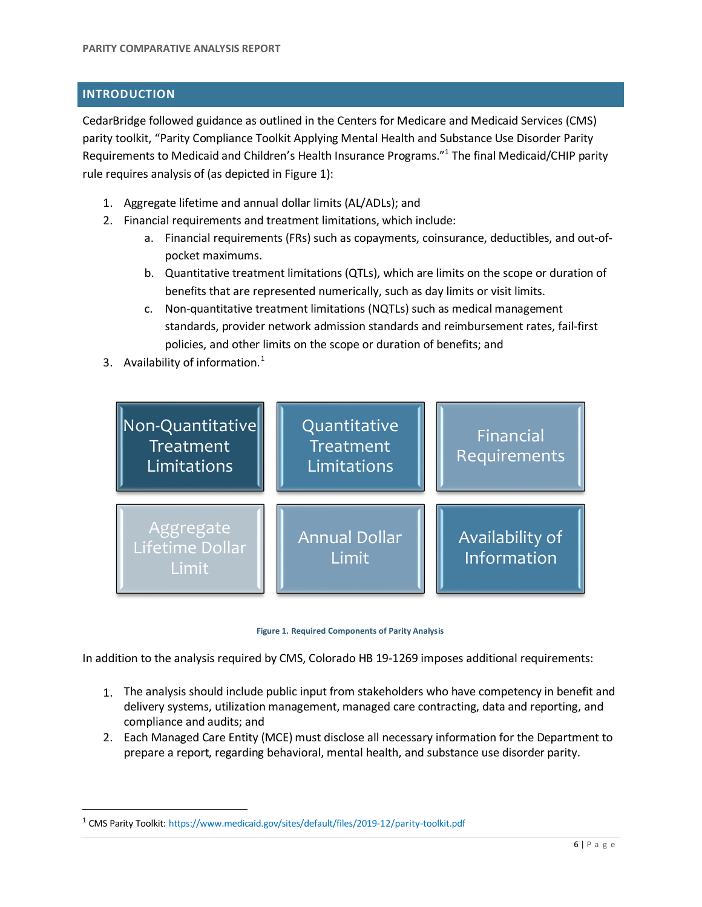## **INTRODUCTION**

CedarBridge followed guidance as outlined in the Centers for Medicare and Medicaid Services (CMS) parity toolkit, "Parity Compliance Toolkit Applying Mental Health and Substance Use Disorder Parity Requirements to Medicaid and Children's Health Insurance Programs."<sup>1</sup> The final Medicaid/CHIP parity rule requires analysis of (as depicted in Figure 1):

- 1. Aggregate lifetime and annual dollar limits (AL/ADLs); and
- 2. Financial requirements and treatment limitations, which include:
	- a. Financial requirements (FRs) such as copayments, coinsurance, deductibles, and out-ofpocket maximums.
	- b. Quantitative treatment limitations (QTLs), which are limits on the scope or duration of benefits that are represented numerically, such as day limits or visit limits.
	- c. Non-quantitative treatment limitations (NQTLs) such as medical management standards, provider network admission standards and reimbursement rates, fail-first policies, and other limits on the scope or duration of benefits; and
- 3. Availability of information. $<sup>1</sup>$  $<sup>1</sup>$  $<sup>1</sup>$ </sup>





In addition to the analysis required by CMS, Colorado HB 19-1269 imposes additional requirements:

- 1. The analysis should include public input from stakeholders who have competency in benefit and delivery systems, utilization management, managed care contracting, data and reporting, and compliance and audits; and
- 2. Each Managed Care Entity (MCE) must disclose all necessary information for the Department to prepare a report, regarding behavioral, mental health, and substance use disorder parity.

<span id="page-0-0"></span><sup>&</sup>lt;sup>1</sup> CMS Parity Toolkit: <https://www.medicaid.gov/sites/default/files/2019-12/parity-toolkit.pdf>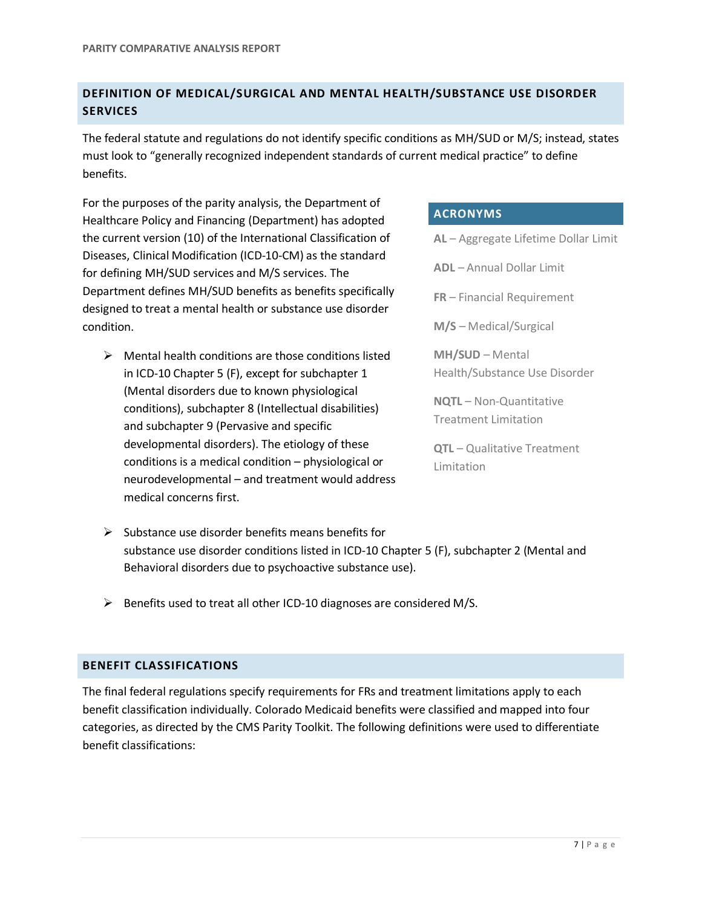# **DEFINITION OF MEDICAL/SURGICAL AND MENTAL HEALTH/SUBSTANCE USE DISORDER SERVICES**

The federal statute and regulations do not identify specific conditions as MH/SUD or M/S; instead, states must look to "generally recognized independent standards of current medical practice" to define benefits.

For the purposes of the parity analysis, the Department of Healthcare Policy and Financing (Department) has adopted the current version (10) of the International Classification of Diseases, Clinical Modification (ICD-10-CM) as the standard for defining MH/SUD services and M/S services. The Department defines MH/SUD benefits as benefits specifically designed to treat a mental health or substance use disorder condition.

 $\triangleright$  Mental health conditions are those conditions listed in ICD-10 Chapter 5 (F), except for subchapter 1 (Mental disorders due to known physiological conditions), subchapter 8 (Intellectual disabilities) and subchapter 9 (Pervasive and specific developmental disorders). The etiology of these conditions is a medical condition – physiological or neurodevelopmental – and treatment would address medical concerns first.

# **ACRONYMS**

**AL** – Aggregate Lifetime Dollar Limit **ADL** – Annual Dollar Limit **FR** – Financial Requirement **M/S** – Medical/Surgical **MH/SUD** – Mental Health/Substance Use Disorder **NQTL** – Non-Quantitative Treatment Limitation **QTL** – Qualitative Treatment

Limitation

- $\triangleright$  Substance use disorder benefits means benefits for substance use disorder conditions listed in ICD-10 Chapter 5 (F), subchapter 2 (Mental and Behavioral disorders due to psychoactive substance use).
- $\triangleright$  Benefits used to treat all other ICD-10 diagnoses are considered M/S.

## **BENEFIT CLASSIFICATIONS**

The final federal regulations specify requirements for FRs and treatment limitations apply to each benefit classification individually. Colorado Medicaid benefits were classified and mapped into four categories, as directed by the CMS Parity Toolkit. The following definitions were used to differentiate benefit classifications: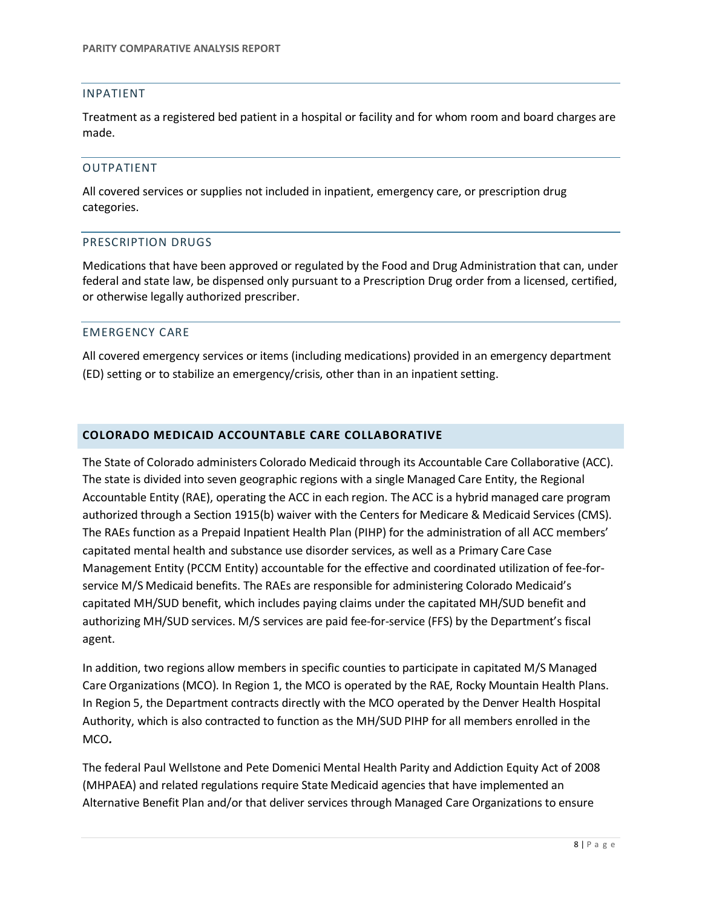### INPATIENT

Treatment as a registered bed patient in a hospital or facility and for whom room and board charges are made.

#### OUTPATIENT

All covered services or supplies not included in inpatient, emergency care, or prescription drug categories.

#### PRESCRIPTION DRUGS

Medications that have been approved or regulated by the Food and Drug Administration that can, under federal and state law, be dispensed only pursuant to a Prescription Drug order from a licensed, certified, or otherwise legally authorized prescriber.

#### EMERGENCY CARE

All covered emergency services or items (including medications) provided in an emergency department (ED) setting or to stabilize an emergency/crisis, other than in an inpatient setting.

### **COLORADO MEDICAID ACCOUNTABLE CARE COLLABORATIVE**

The State of Colorado administers Colorado Medicaid through its Accountable Care Collaborative (ACC). The state is divided into seven geographic regions with a single Managed Care Entity, the Regional Accountable Entity (RAE), operating the ACC in each region. The ACC is a hybrid managed care program authorized through a Section 1915(b) waiver with the Centers for Medicare & Medicaid Services (CMS). The RAEs function as a Prepaid Inpatient Health Plan (PIHP) for the administration of all ACC members' capitated mental health and substance use disorder services, as well as a Primary Care Case Management Entity (PCCM Entity) accountable for the effective and coordinated utilization of fee-forservice M/S Medicaid benefits. The RAEs are responsible for administering Colorado Medicaid's capitated MH/SUD benefit, which includes paying claims under the capitated MH/SUD benefit and authorizing MH/SUD services. M/S services are paid fee-for-service (FFS) by the Department's fiscal agent.

In addition, two regions allow members in specific counties to participate in capitated M/S Managed Care Organizations (MCO). In Region 1, the MCO is operated by the RAE, Rocky Mountain Health Plans. In Region 5, the Department contracts directly with the MCO operated by the Denver Health Hospital Authority, which is also contracted to function as the MH/SUD PIHP for all members enrolled in the MCO*.*

The federal Paul Wellstone and Pete Domenici Mental Health Parity and Addiction Equity Act of 2008 (MHPAEA) and related regulations require State Medicaid agencies that have implemented an Alternative Benefit Plan and/or that deliver services through Managed Care Organizations to ensure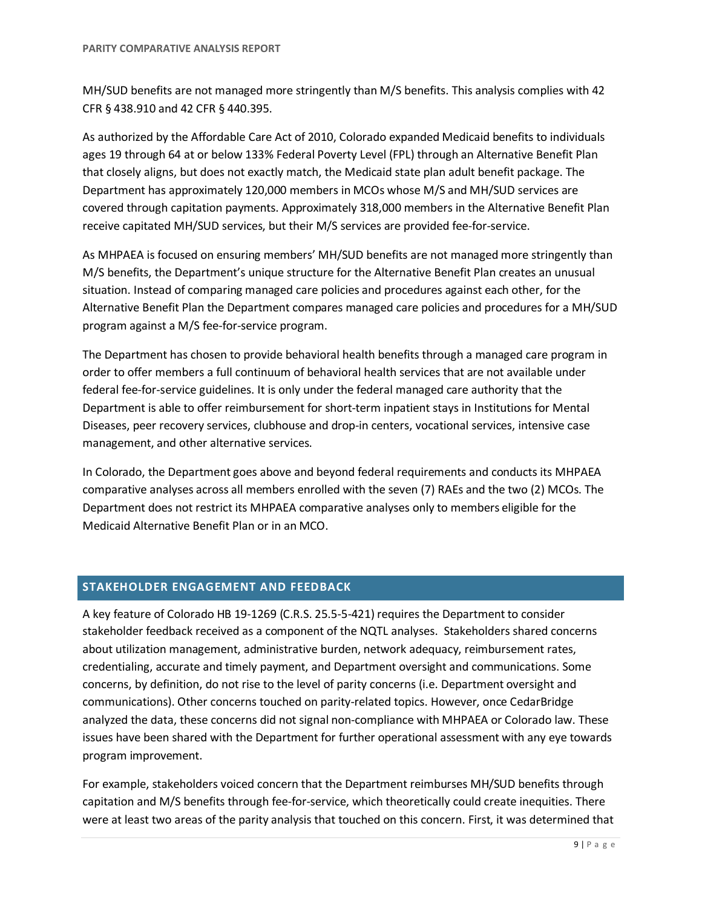MH/SUD benefits are not managed more stringently than M/S benefits. This analysis complies with 42 CFR § 438.910 and 42 CFR § 440.395.

As authorized by the Affordable Care Act of 2010, Colorado expanded Medicaid benefits to individuals ages 19 through 64 at or below 133% Federal Poverty Level (FPL) through an Alternative Benefit Plan that closely aligns, but does not exactly match, the Medicaid state plan adult benefit package. The Department has approximately 120,000 members in MCOs whose M/S and MH/SUD services are covered through capitation payments. Approximately 318,000 members in the Alternative Benefit Plan receive capitated MH/SUD services, but their M/S services are provided fee-for-service.

As MHPAEA is focused on ensuring members' MH/SUD benefits are not managed more stringently than M/S benefits, the Department's unique structure for the Alternative Benefit Plan creates an unusual situation. Instead of comparing managed care policies and procedures against each other, for the Alternative Benefit Plan the Department compares managed care policies and procedures for a MH/SUD program against a M/S fee-for-service program.

The Department has chosen to provide behavioral health benefits through a managed care program in order to offer members a full continuum of behavioral health services that are not available under federal fee-for-service guidelines. It is only under the federal managed care authority that the Department is able to offer reimbursement for short-term inpatient stays in Institutions for Mental Diseases, peer recovery services, clubhouse and drop-in centers, vocational services, intensive case management, and other alternative services.

In Colorado, the Department goes above and beyond federal requirements and conducts its MHPAEA comparative analyses across all members enrolled with the seven (7) RAEs and the two (2) MCOs. The Department does not restrict its MHPAEA comparative analyses only to members eligible for the Medicaid Alternative Benefit Plan or in an MCO.

## **STAKEHOLDER ENGAGEMENT AND FEEDBACK**

A key feature of Colorado HB 19-1269 (C.R.S. 25.5-5-421) requires the Department to consider stakeholder feedback received as a component of the NQTL analyses. Stakeholders shared concerns about utilization management, administrative burden, network adequacy, reimbursement rates, credentialing, accurate and timely payment, and Department oversight and communications. Some concerns, by definition, do not rise to the level of parity concerns (i.e. Department oversight and communications). Other concerns touched on parity-related topics. However, once CedarBridge analyzed the data, these concerns did not signal non-compliance with MHPAEA or Colorado law. These issues have been shared with the Department for further operational assessment with any eye towards program improvement.

For example, stakeholders voiced concern that the Department reimburses MH/SUD benefits through capitation and M/S benefits through fee-for-service, which theoretically could create inequities. There were at least two areas of the parity analysis that touched on this concern. First, it was determined that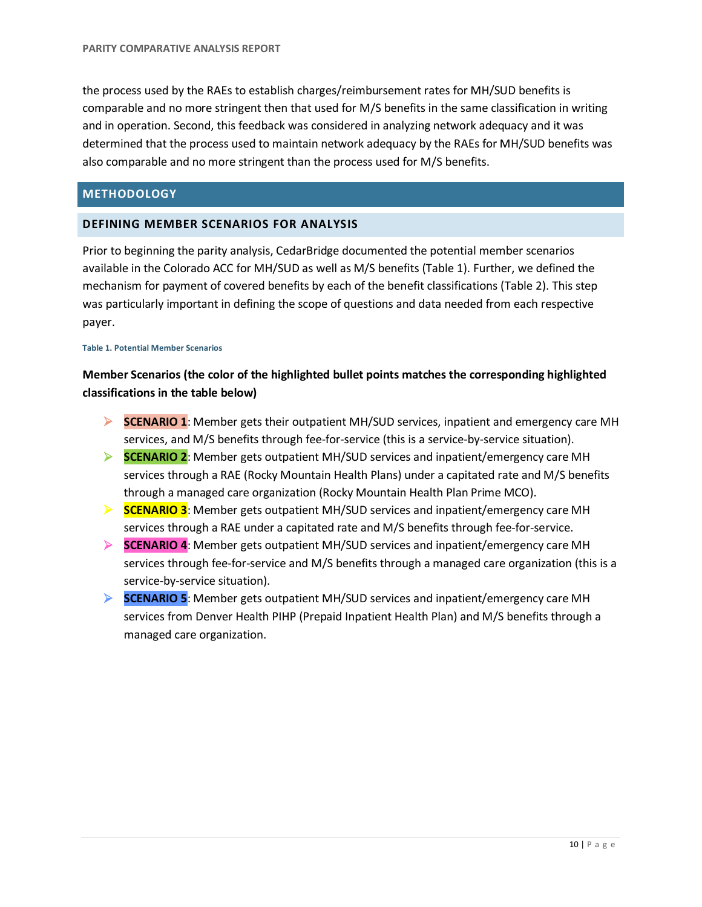the process used by the RAEs to establish charges/reimbursement rates for MH/SUD benefits is comparable and no more stringent then that used for M/S benefits in the same classification in writing and in operation. Second, this feedback was considered in analyzing network adequacy and it was determined that the process used to maintain network adequacy by the RAEs for MH/SUD benefits was also comparable and no more stringent than the process used for M/S benefits.

## **METHODOLOGY**

## **DEFINING MEMBER SCENARIOS FOR ANALYSIS**

Prior to beginning the parity analysis, CedarBridge documented the potential member scenarios available in the Colorado ACC for MH/SUD as well as M/S benefits (Table 1). Further, we defined the mechanism for payment of covered benefits by each of the benefit classifications (Table 2). This step was particularly important in defining the scope of questions and data needed from each respective payer.

#### **Table 1. Potential Member Scenarios**

# **Member Scenarios (the color of the highlighted bullet points matches the corresponding highlighted classifications in the table below)**

- **SCENARIO 1**: Member gets their outpatient MH/SUD services, inpatient and emergency care MH services, and M/S benefits through fee-for-service (this is a service-by-service situation).
- **SCENARIO 2**: Member gets outpatient MH/SUD services and inpatient/emergency care MH services through a RAE (Rocky Mountain Health Plans) under a capitated rate and M/S benefits through a managed care organization (Rocky Mountain Health Plan Prime MCO).
- **SCENARIO 3**: Member gets outpatient MH/SUD services and inpatient/emergency care MH services through a RAE under a capitated rate and M/S benefits through fee-for-service.
- **SCENARIO 4**: Member gets outpatient MH/SUD services and inpatient/emergency care MH services through fee-for-service and M/S benefits through a managed care organization (this is a service-by-service situation).
- **SCENARIO 5**: Member gets outpatient MH/SUD services and inpatient/emergency care MH services from Denver Health PIHP (Prepaid Inpatient Health Plan) and M/S benefits through a managed care organization.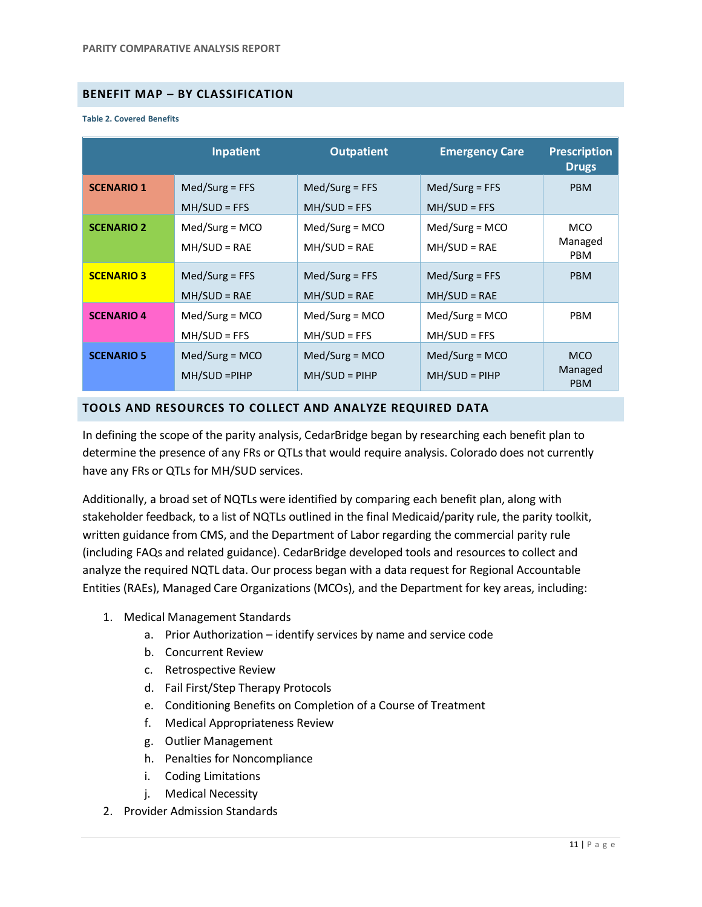## **BENEFIT MAP – BY CLASSIFICATION**

#### **Table 2. Covered Benefits**

|                   | <b>Inpatient</b>                   | <b>Outpatient</b>                  | <b>Emergency Care</b>              | <b>Prescription</b><br><b>Drugs</b> |
|-------------------|------------------------------------|------------------------------------|------------------------------------|-------------------------------------|
| <b>SCENARIO 1</b> | $Med/Surg = FFS$<br>$MH/SUD = FFS$ | $Med/Surg = FFS$<br>$MH/SUD = FFS$ | $Med/Surg = FFS$<br>$MH/SUD = FFS$ | <b>PBM</b>                          |
| <b>SCENARIO 2</b> | $Med/Surg = MCO$<br>$MH/SUD = RAE$ | $Med/Surg = MCO$<br>$MH/SUD = RAE$ | $Med/Surg = MCO$<br>$MH/SUD = RAE$ | <b>MCO</b><br>Managed<br><b>PBM</b> |
| <b>SCENARIO 3</b> | $Med/Surg = FFS$<br>$MH/SUD = RAE$ | $Med/Surg = FFS$<br>$MH/SUD = RAE$ | $Med/Surg = FFS$<br>$MH/SUD = RAE$ | <b>PBM</b>                          |
| <b>SCENARIO 4</b> | $Med/Surg = MCO$<br>$MH/SUD = FFS$ | $Med/Surg = MCO$<br>$MH/SUD = FFS$ | $Med/Surg = MCO$<br>$MH/SUD = FFS$ | <b>PBM</b>                          |
| <b>SCENARIO 5</b> | $Med/Surg = MCO$<br>MH/SUD = PIHP  | $Med/Surg = MCO$<br>$MH/SUD = PHP$ | $Med/Surg = MCO$<br>$MH/SUD = PHP$ | <b>MCO</b><br>Managed<br><b>PBM</b> |

#### **TOOLS AND RESOURCES TO COLLECT AND ANALYZE REQUIRED DATA**

In defining the scope of the parity analysis, CedarBridge began by researching each benefit plan to determine the presence of any FRs or QTLs that would require analysis. Colorado does not currently have any FRs or QTLs for MH/SUD services.

Additionally, a broad set of NQTLs were identified by comparing each benefit plan, along with stakeholder feedback, to a list of NQTLs outlined in the final Medicaid/parity rule, the parity toolkit, written guidance from CMS, and the Department of Labor regarding the commercial parity rule (including FAQs and related guidance). CedarBridge developed tools and resources to collect and analyze the required NQTL data. Our process began with a data request for Regional Accountable Entities (RAEs), Managed Care Organizations (MCOs), and the Department for key areas, including:

- 1. Medical Management Standards
	- a. Prior Authorization identify services by name and service code
	- b. Concurrent Review
	- c. Retrospective Review
	- d. Fail First/Step Therapy Protocols
	- e. Conditioning Benefits on Completion of a Course of Treatment
	- f. Medical Appropriateness Review
	- g. Outlier Management
	- h. Penalties for Noncompliance
	- i. Coding Limitations
	- j. Medical Necessity
- 2. Provider Admission Standards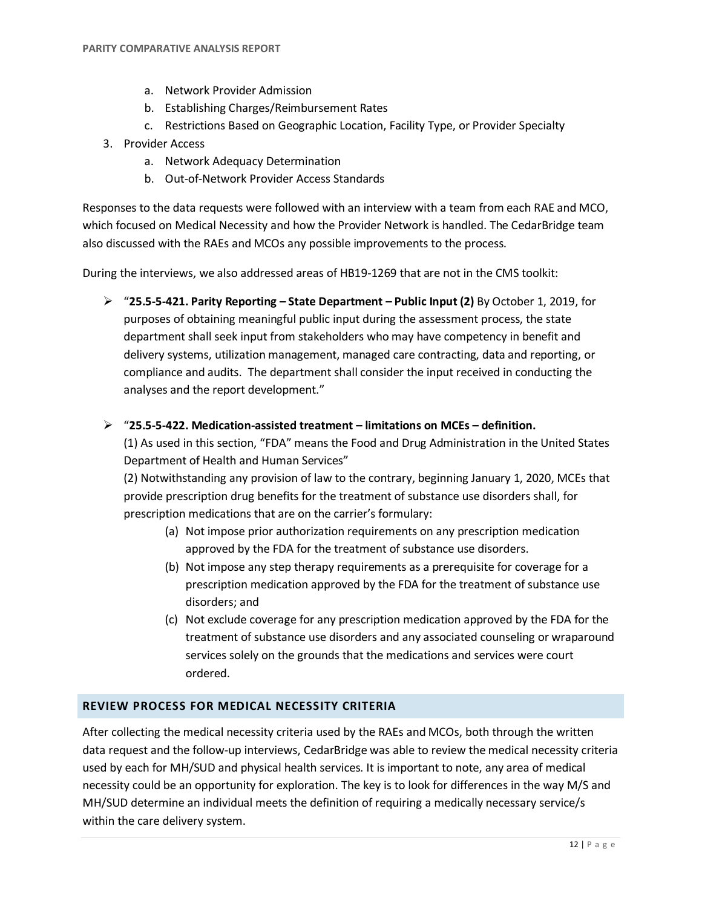- a. Network Provider Admission
- b. Establishing Charges/Reimbursement Rates
- c. Restrictions Based on Geographic Location, Facility Type, or Provider Specialty
- 3. Provider Access
	- a. Network Adequacy Determination
	- b. Out-of-Network Provider Access Standards

Responses to the data requests were followed with an interview with a team from each RAE and MCO, which focused on Medical Necessity and how the Provider Network is handled. The CedarBridge team also discussed with the RAEs and MCOs any possible improvements to the process.

During the interviews, we also addressed areas of HB19-1269 that are not in the CMS toolkit:

 "**25.5-5-421. Parity Reporting – State Department – Public Input (2)** By October 1, 2019, for purposes of obtaining meaningful public input during the assessment process, the state department shall seek input from stakeholders who may have competency in benefit and delivery systems, utilization management, managed care contracting, data and reporting, or compliance and audits. The department shall consider the input received in conducting the analyses and the report development."

## "**25.5-5-422. Medication-assisted treatment – limitations on MCEs – definition.**

(1) As used in this section, "FDA" means the Food and Drug Administration in the United States Department of Health and Human Services"

(2) Notwithstanding any provision of law to the contrary, beginning January 1, 2020, MCEs that provide prescription drug benefits for the treatment of substance use disorders shall, for prescription medications that are on the carrier's formulary:

- (a) Not impose prior authorization requirements on any prescription medication approved by the FDA for the treatment of substance use disorders.
- (b) Not impose any step therapy requirements as a prerequisite for coverage for a prescription medication approved by the FDA for the treatment of substance use disorders; and
- (c) Not exclude coverage for any prescription medication approved by the FDA for the treatment of substance use disorders and any associated counseling or wraparound services solely on the grounds that the medications and services were court ordered.

## **REVIEW PROCESS FOR MEDICAL NECESSITY CRITERIA**

After collecting the medical necessity criteria used by the RAEs and MCOs, both through the written data request and the follow-up interviews, CedarBridge was able to review the medical necessity criteria used by each for MH/SUD and physical health services. It is important to note, any area of medical necessity could be an opportunity for exploration. The key is to look for differences in the way M/S and MH/SUD determine an individual meets the definition of requiring a medically necessary service/s within the care delivery system.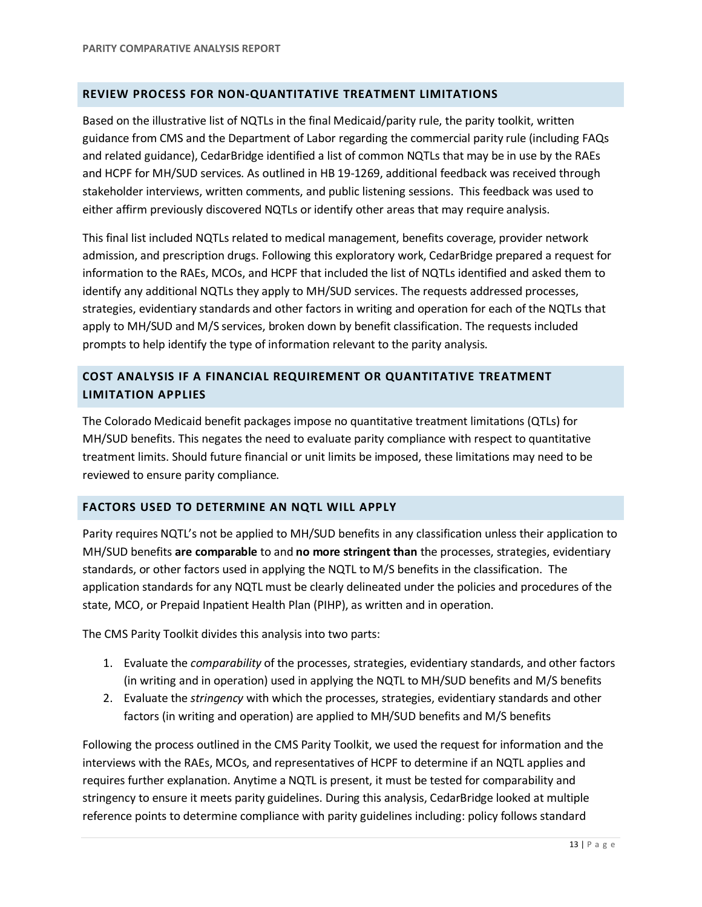## **REVIEW PROCESS FOR NON-QUANTITATIVE TREATMENT LIMITATIONS**

Based on the illustrative list of NQTLs in the final Medicaid/parity rule, the parity toolkit, written guidance from CMS and the Department of Labor regarding the commercial parity rule (including FAQs and related guidance), CedarBridge identified a list of common NQTLs that may be in use by the RAEs and HCPF for MH/SUD services. As outlined in HB 19-1269, additional feedback was received through stakeholder interviews, written comments, and public listening sessions. This feedback was used to either affirm previously discovered NQTLs or identify other areas that may require analysis.

This final list included NQTLs related to medical management, benefits coverage, provider network admission, and prescription drugs. Following this exploratory work, CedarBridge prepared a request for information to the RAEs, MCOs, and HCPF that included the list of NQTLs identified and asked them to identify any additional NQTLs they apply to MH/SUD services. The requests addressed processes, strategies, evidentiary standards and other factors in writing and operation for each of the NQTLs that apply to MH/SUD and M/S services, broken down by benefit classification. The requests included prompts to help identify the type of information relevant to the parity analysis.

# **COST ANALYSIS IF A FINANCIAL REQUIREMENT OR QUANTITATIVE TREATMENT LIMITATION APPLIES**

The Colorado Medicaid benefit packages impose no quantitative treatment limitations (QTLs) for MH/SUD benefits. This negates the need to evaluate parity compliance with respect to quantitative treatment limits. Should future financial or unit limits be imposed, these limitations may need to be reviewed to ensure parity compliance.

## **FACTORS USED TO DETERMINE AN NQTL WILL APPLY**

Parity requires NQTL's not be applied to MH/SUD benefits in any classification unless their application to MH/SUD benefits **are comparable** to and **no more stringent than** the processes, strategies, evidentiary standards, or other factors used in applying the NQTL to M/S benefits in the classification. The application standards for any NQTL must be clearly delineated under the policies and procedures of the state, MCO, or Prepaid Inpatient Health Plan (PIHP), as written and in operation.

The CMS Parity Toolkit divides this analysis into two parts:

- 1. Evaluate the *comparability* of the processes, strategies, evidentiary standards, and other factors (in writing and in operation) used in applying the NQTL to MH/SUD benefits and M/S benefits
- 2. Evaluate the *stringency* with which the processes, strategies, evidentiary standards and other factors (in writing and operation) are applied to MH/SUD benefits and M/S benefits

Following the process outlined in the CMS Parity Toolkit, we used the request for information and the interviews with the RAEs, MCOs, and representatives of HCPF to determine if an NQTL applies and requires further explanation. Anytime a NQTL is present, it must be tested for comparability and stringency to ensure it meets parity guidelines. During this analysis, CedarBridge looked at multiple reference points to determine compliance with parity guidelines including: policy follows standard